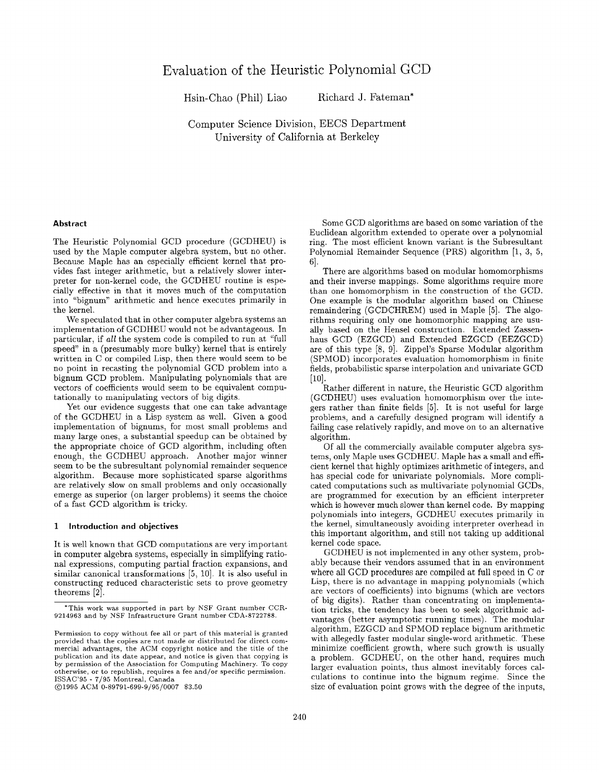# Evaluation of the Heuristic Polynomial GCD

Hsin-Chao (Phil) Liao Richard J. Fateman\*

Computer Science Division, EECS Department University of California at Berkeley

## Abstract

The Heuristic Polynomial GCD procedure (GCDHEU) is used by the Maple computer algebra system, but no other. Because Maple has an especially efficient kernel that provides fast integer arithmetic, but a relatively slower interpreter for non-kernel code, the GCDHEU routine is especially effective in that it moves much of the computation into "bignum" arithmetic and hence executes primarily in the kernel.

We speculated that in other computer algebra systems an implementation of GCDHEU would not be advantageous. In particular, if all the system code is compiled to run at "full speed" in a (presumably more bulky) kernel that is entirely written in C or compiled Lisp, then there would seem to be no point in recasting the polynomial GCD problem into a bignum GCD problem. Manipulating polynomials that are vectors of coefficients would seem to be equivalent computationally to manipulating vectors of big digits.

Yet our evidence suggests that one can take advantage of the GCDHEU in a Lisp system as well. Given a good implementation of bignums, for most small problems and many large ones, a substantial speedup can be obtained by the appropriate choice of GCD algorithm, including often enough, the GCDHEU approach. Another major winner seem to be the subresultant polynomial remainder sequence algorithm. Because more sophisticated sparse algorithms are relatively slow on small problems and only occasionally emerge as superior (on larger problems) it seems the choice of a fast GCD algorithm is tricky.

## 1 Introduction and objectives

It is well known that GCD computations are very important in computer algebra systems, especially in simplifying rational expressions, computing partial fraction expansions, and similar canonical transformations [5, 10]. It is also useful in constructing reduced characteristic sets to prove geometry theorems [2].

@1995 ACM 0-89791-699-9/95/0007 \$3.50

Some GCD algorithms are based on some variation of the Euclidean algorithm extended to operate over a polynomial ring. The most efficient known variant is the Subresultant Polynomial Remainder Sequence (PRS) algorithm [1, 3, 5, 6].

There are algorithms based on modular homomorphisms and their inverse mappings. Some algorithms require more than one homomorphism in the construction of the GCD. One example is the modular algorithm based on Chinese remaindering (GCDCHREM) used in Maple [5]. The algorithms requiring only one homomorphic mapping are usually based on the Hensel construction. Extended Zassenhaus GCD (EZGCD) and Extended EZGCD (EEZGCD) are of this type [8, 9]. Zippel's Sparse Modular algorithm (SPMOD) incorporates evaluation homomorphism in finite fields, probabilistic sparse interpolation and univariate GCD [10].

Rather different in nature, the Heuristic GCD algorithm (GCDHEU) uses evaluation homomorphism over the integers rather than finite fields [5]. It is not useful for large problems, and a carefully designed program will identify a failing case relatively rapidly, and move on to an alternative algorithm.

Of all the commercially available computer algebra systems, only Maple uses GCDHEU. Maple has a small and efficient kernel that highly optimizes arithmetic of integers, and has special code for univariate polynomials. More complicated computations such as multivariate polynomial GCDS) are programmed for execution by an efficient interpreter which is however much slower than kernel code. By mapping polynomials into integers, GCDHEU executes primarily in the kernel, simultaneously avoiding interpreter overhead in this important algorithm, and still not taking up additional kernel code space.

GCDHEU is not implemented in any other system, probably because their vendors assumed that in an environment where all GCD procedures are compiled at full speed in C or Lisp, there is no advantage in mapping polynomials (which are vectors of coefficients) into bignums (which are vectors of big digits). Rather than concentrating on implementation tricks, the tendency has been to seek algorithmic advantages (better asymptotic running times). The modular algorithm, EZGCD and SPMOD replace bignum arithmetic with allegedly faster modular single-word arithmetic. These minimize coefficient growth, where such growth is usually a problem. GCDHEU, on the other hand, requires much larger evaluation points, thus almost inevitably forces calculations to continue into the bignum regime. Since the size of evaluation point grows with the degree of the inputs,

<sup>\*</sup>This work was supported in part by NSF Grant number CCR-9214963 and by NSF Infrastructure Grant number CDA-S72278S.

Permission to copy without fee all or part of this material is granted provided that the copies are not made or distributed for direct commercial advantages, the ACM copyright notice and the title of the publication and its date appear, and notice is given that copying is by permission of the Association for Computing Machinery. To copy otherwise, or to republish, requires a fee and/or specific permission. ISSAC'95 - 7/95 Montreal, Canada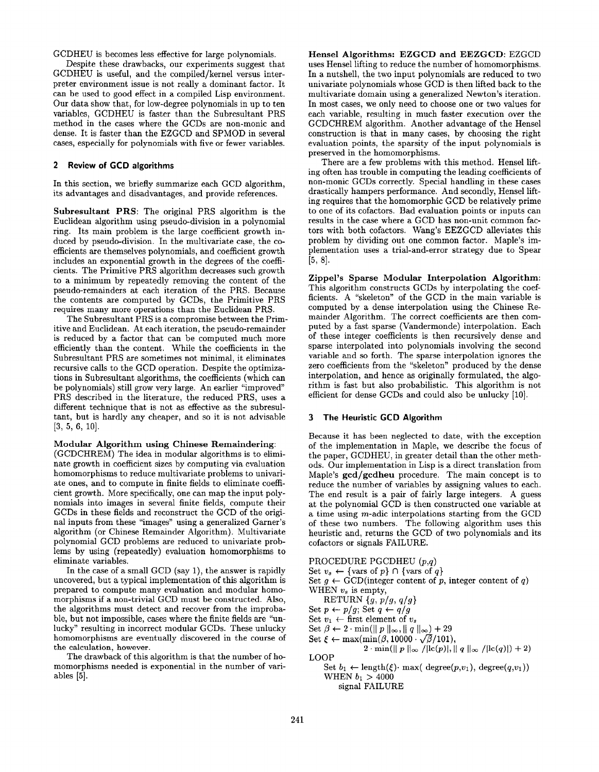GCDHEU is becomes less effective for large polynomials.

Despite these drawbacks, our experiments suggest that GCDHEU is useful, and the compiled/kernel versus interpreter environment issue is not really a dominant factor. It can be used to good effect in a compiled Lisp environment. Our data show that, for low-degree polynomials in up to ten variables, GCDHEU is faster than the Subresultant PRS method in the cases where the GCDS are non-monic and dense. It is faster than the EZGCD and SPMOD in several cases, especially for polynomials with five or fewer variables.

# 2 Review of GCD algorithms

In this section, we briefly summarize each GCD algorithm, its advantages and disadvantages, and provide references.

Subresultant PRS: The original PRS algorithm is the Euclidean algorithm using pseudo-division in a polynomial ring. Its main problem is the large coefficient growth induced by pseudo-division. In the multivariate case, the coefficients are themselves polynomials, and coefficient growth includes an exponential growth in the degrees of the coefficients. The Primitive PRS algorithm decreases such growth to a minimum by repeatedly removing the content of the pseudo-remainders at each iteration of the PRS. Because the contents are computed by GCDS, the Primitive PRS requires many more operations than the Euclidean PRS.

The Subresultant PRS is a compromise between the Primitive and Euclidean. At each iteration, the pseudo-remainder is reduced by a factor that can be computed much more efficiently than the content. While the coefficients in the Subresultant PRS are sometimes not minimal, it eliminates recursive calls to the GCD operation. Despite the optimizations in Subresultant algorithms, the coefficients (which can be polynomials) still grow very large. An earlier "improved" PRS described in the literature, the reduced PRS, uses a different technique that is not as effective as the subresultant, but is hardly any cheaper, and so it is not advisable  $[3, 5, 6, 10].$ 

## Modular Algorithm using Chinese Remaindering:

(GCDCHREM) The idea in modular algorithms is to eliminate growth in coefficient sizes by computing via evaluation homomorphisms to reduce multivariate problems to univariate ones, and to compute in finite fields to eliminate coefficient growth. More specifically, one can map the input polynomials into images in several finite fields, compute their GCDS in these fields and reconstruct the GCD of the original inputs from these "images" using a generalized Garner's algorithm (or Chinese Remainder Algorithm). Multivariate polynomial GCD problems are reduced to univariate problems by using (repeatedly) evaluation homomorphisms to eliminate variables.

In the case of a small GCD (say 1), the answer is rapidly uncovered, but a typical implementation of this algorithm is prepared to compute many evaluation and modular homomorphisms if a non-trivial GCD must be constructed. Also, the algorithms must detect and recover from the improbable, but not impossible, cases where the finite fields are "unlucky" resulting in incorrect modular GCDS. These unlucky homomorphisms are eventually discovered in the course of the calculation, however.

The drawback of this algorithm is that the number of homomorphisms needed is exponential in the number of variables [5].

Hensel Algorithms: EZGCD and EEZGCD: EZGCD uses Hensel lifting to reduce the number of homomorphisms. In a nutshell, the two input polynomials are reduced to two univariate polynomials whose GCD is then lifted back to the multivariate domain using a generalized Newton's iteration. In most cases, we only need to choose one or two values for each variable, resulting in much faster execution over the GCDCHREM algorithm. Another advantage of the Hensel construction is that in many cases, by choosing the right evaluation points, the sparsity of the input polynomials is preserved in the homomorphisms.

There are a few problems with this method. Hensel lifting often has trouble in computing the leading coefficients of non-monic G CDs correctly. Special handling in these cases drastically hampers performance. And secondly, Hensel lifting requires that the homomorphic GCD be relatively prime to one of its cofactors. Bad evaluation points or inputs can results in the case where a GCD has non-unit common factors with both cofactors. Wang's EEZGCD alleviates this problem by dividing out one common factor. Maple's implementation uses a trial-and-error strategy due to Spear [5, 8].

Zippel's Sparse Modular Interpolation Algorithm: This algorithm constructs GCDS by interpolating the coefficients. A "skeleton" of the GCD in the main variable is computed by a dense interpolation using the Chinese Remainder Algorithm. The correct coefficients are then computed by a fast sparse (Vandermonde) interpolation. Each of these integer coefficients is then recursively dense and sparse interpolated into polynomials involving the second variable and so forth. The sparse interpolation ignores the zero coefficients from the "skeleton" produced by the dense interpolation, and hence as originally formulated, the algorithm is fast but also probabilistic. This algorithm is not efficient for dense GCDS and could also be unlucky [10].

## 3 The Heuristic GCD Algorithm

Because it has been neglected to date, with the exception of the implementation in Maple, we describe the focus of the paper, GCDHEU, in greater detail than the other methods. Our implementation in Lisp is a direct translation from Maple's gcd/gcdheu procedure. The main concept is to reduce the number of variables by assigning values to each. The end result is a pair of fairly large integers. A guess at the polynomial GCD is then constructed one variable at a time using  $m$ -adic interpolations starting from the GCD of these two numbers. The following algorithm uses this heuristic and, returns the GCD of two polynomials and its cofactors or signals FAILURE.

PROCEDURE PGCDHEU  $(p,q)$ 

- Set  $v_s \leftarrow \{vars\;of\;p\} \cap \{vars\;of\;q\}$
- Set  $g \leftarrow \text{GCD}(\text{integer content of } p, \text{integer content of } q)$ WHEN  $v_s$  is empty,

RETURN  $\{g, p/g, q/g\}$ 

Set  $p \leftarrow p/g$ ; Set  $q \leftarrow q/g$ 

Set  $v_1 \leftarrow$  first element of  $v_s$ 

- Set  $\beta \leftarrow 2 \cdot \min(\parallel p \parallel_{\infty}, \parallel q \parallel_{\infty}) + 29$
- Set  $\xi \leftarrow \max(\min(\beta, 10000 \cdot \sqrt{\beta}/101),$
- $2 \cdot \min(\|p\|_{\infty} /|\mathrm{lc}(p)|, \|q\|_{\infty} /|\mathrm{lc}(q)|)+2)$ LOOP
- Set  $b_1 \leftarrow \text{length}(\xi) \cdot \max(\text{ degree}(p, v_1), \text{ degree}(q, v_1))$ WHEN  $b_1 > 4000$

signal FAILURE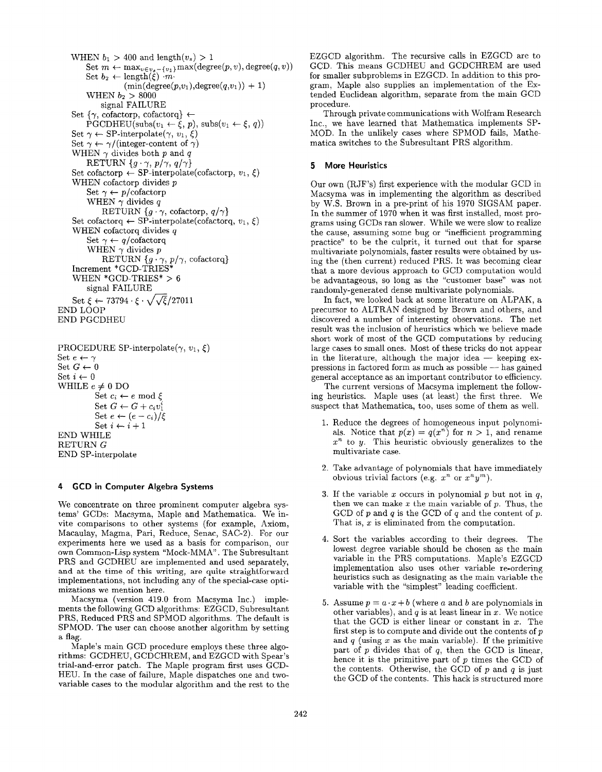```
WHEN b_1 > 400 and length(v_s) > 1\text{Set } m \leftarrow \max_{v \in v_s - \{v_1\}} \max(\text{degree}(p, v), \text{degree}(q, v))Set b_2 \leftarrow \text{length}(\xi) m
                        (\min(\text{degree}(p,v_1),\text{degree}(q,v_1))+1)WHEN b_2 > 8000signal FAILURE
     Set \{\gamma, \text{ cofactorp}, \text{cofactorq}\} \leftarrowPGCDHEU(subs(v_1 \leftarrow \xi, p), subs(v_1 \leftarrow \xi, q))
     Set \gamma \leftarrow SP-interpolate(\gamma, v_1, \xi)
     Set \gamma \leftarrow \gamma/(\text{integer-content of }\gamma)WHEN \gamma divides both p and q
          RETURN \{g \cdot \gamma, p/\gamma, q/\gamma\}Set cofactorp \leftarrow SP-interpolate(cofactorp, v_1, \xi)
     WHEN cofactorp divides pSet \gamma \leftarrow p/\text{cofactor}WHEN \gamma divides qRETURN \{g \cdot \gamma, cotactorp, q/r\mathsf{Set}\ \operatorname{cofactor} q \leftarrow \mathsf{SP\text{-}interpola} t \operatorname{cofactor} q, \, v_1, \, \zeta \, pWHEN cofactorq divides q
          Set \gamma \leftarrow q/cofactorq
           WHEN \gamma divides p
                RETURN \{g \cdot \gamma, p/\gamma, \text{ cofactor}\}Increment *GCD-TRIES*
     WHEN ^*GCD-TRIES^* > 6signal FAILURE
     Set \xi \leftarrow 73794 \cdot \xi \cdot \sqrt{\sqrt{\xi}}/27011END LOOP
END PGCDHEU
```

```
PROCEDURE SP-interpolate(\gamma, v_1, \xi)Set e \leftarrow \gammaSet G\leftarrow 0Set i \leftarrow 0WHILE e \neq 0 DO
            Set c_i \leftarrow e \mod \xiSet G \leftarrow G + c_i v_1^*Set e \leftarrow (e - c_i)/\xiSet i\leftarrow i+1END WHILE
RETURN G
END SP-interpolate
```
## 4 GCD in Computer Algebra Systems

We concentrate on three prominent computer algebra systems' GCDs: Macsyma, Maple and Mathematica. We invite comparisons to other systems (for example, Axiom, Macaulay, Magma, Pari, Reduce, Senac, SAC-2). For our experiments here we used as a basis for comparison, our own Common-Lisp system "Mock-MMA", The Subresultant PRS and GCDHEU are implemented and used separately, and at the time of this writing, are quite straightforward implementations, not including any of the special-case optimization we mention here.

Macsyma (version 419.0 from Macsyma Inc.) implements the following GCD algorithms: EZGCD, Subresultant PRS, Reduced PRS and SPMOD algorithms. The default is SPMOD. The user can choose another algorithm by setting a flag.

Maple's main GCD procedure employs these three algorithms: GCDHEU, GCDCHREM, and EZGCD with Spear's trial-and-error patch. The Maple program first uses GCD-HEU. In the case of failure, Maple dispatches one and twovariable cases to the modular algorithm and the rest to the

EZGCD algorithm. The recursive calls in EZGCD are to GCD. This means GCDHEU and GCDCHREM are used for smaller subproblems in EZGCD. In addition to this program, Maple also supplies an implementation of the Extended Euclidean algorithm, separate from the main GCD procedure.

Through private communications with Wolfram Research Inc., we have learned that Mathematica implements SP-MOD. In the unlikely cases where SPMOD fails, Mathematica switches to the Subresultant PRS algorithm.

# 5 More Heuristics

Our own (RJF's) first experience with the modular GCD in Macsyma was in implementing the algorithm as described by W.S. Brown in a pre-print of his 1970 SIGSAM paper. In the summer of 1970 when it was first installed, most programs using GCDS ran slower. While we were slow to realize the cause, assuming some bug or "inefficient programming practice" to be the culprit, it turned out that for sparse multivariate polynomials, faster results were obtained by using the (then current) reduced PRS. It was becoming clear that a more devious approach to GCD computation would be advantageous, so long as the "customer base" was not randomly-generated dense multivariate polynomials.

In fact, we looked back at some literature on ALPAK, a precursor to ALTRAN designed by Brown and others, and discovered a number of interesting observations. The net result was the inclusion of heuristics which we believe made short work of most of the GCD computations by reducing large cases to small ones. Most of these tricks do not appear in the literature, although the major idea — keeping expressions in factored form as much as possible — has gained general acceptance as an important contributor to efficiency.

The current versions of Macsyma implement the following heuristics. Maple uses (at least) the first three. We suspect that Mathematica, too, uses some of them as well.

- 1. Reduce the degrees of homogeneous input polynor als. Notice that  $p(x) = q(x^n)$  for  $n > 1$ , and rename  $x^n$  to y. This heuristic obviously generalizes to the multivariate case.
- 2. Take advantage of polynomials that have immediat obvious trivial factors (e.g.  $x^n$  or  $x^n y^m$ ).
- 3. If the variable x occurs in polynomial p but not in  $q$ , then we can make  $x$  the main variable of  $p$ . Thus, the GCD of  $p$  and  $q$  is the GCD of  $q$  and the content of  $p$ . That is, x is eliminated from the computation.
- 4. Sort the variables according to their degrees. The lowest degree variable should be chosen as the main variable in the PRS computations. Maple's EZGCD implementation also uses other variable re-ordering heuristics such as designating as the main variable the variable with the "simplest" leading coefficient.
- 5. Assume  $p = a \cdot x + b$  (where a and b are polynomials in other variables), and  $q$  is at least linear in  $x$ . We notice that the GCD is either linear or constant in  $x$ . The first step is to compute and divide out the contents of  $p$ and  $q$  (using  $x$  as the main variable). If the primitive part of  $p$  divides that of  $q$ , then the GCD is linear, hence it is the primitive part of  $p$  times the GCD of the contents. Otherwise, the GCD of  $p$  and  $q$  is just the GCD of the contents. This hack is structured more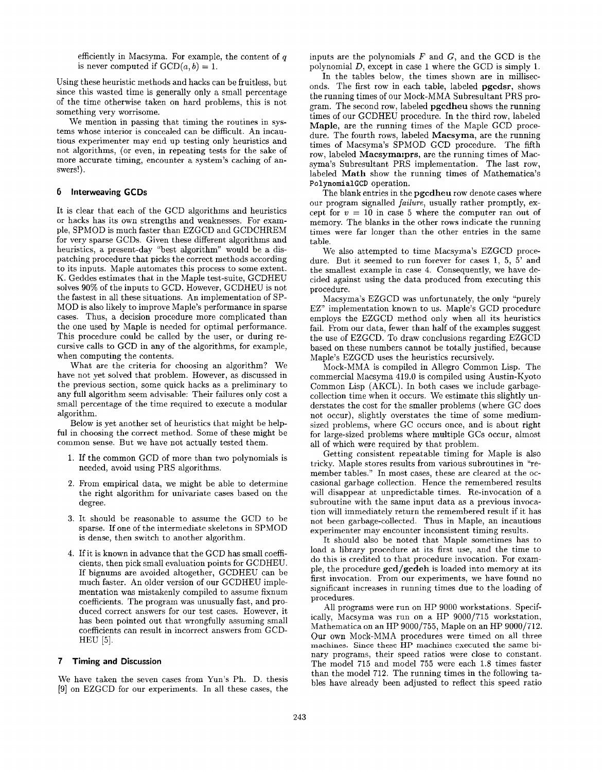efficiently in Macsyma. For example, the content of  $q$ is never computed if  $GCD(a, b) = 1$ .

Using these heuristic methods and hacks can be fruitless, but since this wasted time is generally only a small percentage of the time otherwise taken on hard problems, this is not something very worrisome.

We mention in passing that timing the routines in systems whose interior is concealed can be difficult. An incautious experimenter may end up testing only heuristics and not algorithms, (or even, in repeating tests for the sake of more accurate timing, encounter a system's caching of answers!).

# 6 Interweaving GCDS

It is clear that each of the GCD algorithms and heuristics or hacks has its own strengths and weaknesses. For example, SPMOD is much faster than EZGCD and GCDCHREM for very sparse GCDS. Given these different algorithms and heuristics, a present-day "best algorithm" would be a dispatching procedure that picks the correct methods according to its inputs. Maple automates this process to some extent. K. Geddes estimates that in the Maple test-suite, GCDHEU solves 90% of the inputs to GCD. However, GCDHEU is not the fastest in all these situations. An implementation of SP-MOD is also likely to improve Maple's performance in sparse cases. Thus, a decision procedure more complicated than the one used by Maple is needed for optimal performance. This procedure could be called by the user, or during recursive calls to GCD in any of the algorithms, for example, when computing the contents.

What are the criteria for choosing an algorithm? We have not yet solved that problem. However, as discussed in the previous section, some quick hacks as a preliminary to any full algorithm seem advisable: Their failures only cost a small percentage of the time required to execute a modular algorithm.

Below is yet another set of heuristics that might be helpful in choosing the correct method. Some of these might be common sense. But we have not actually tested them.

- 1. If the common GCD of more than two polynomials is needed, avoid using PRS algorithms.
- 2. From empirical data, we might be able to determine the right algorithm for univariate cases based on the degree.
- 3. It should be reasonable to assume the GCD to be sparse. If one of the intermediate skeletons in SPMOD is dense, then switch to another algorithm.
- 4. If it is known in advance that the GCD has small coefficients, then pick small evaluation points for GCDHEU. If bignums are avoided altogether, GCDHEU can be much faster. An older version of our GCDHEU implementation was mistakenly compiled to assume fixnum coefficients. The program was unusually fast, and produced correct answers for our test cases. However, it has been pointed out that wrongfully assuming small coefficients can result in incorrect answers from GCD-HEU [5].

### 7 Timing and Discussion

We have taken the seven cases from Yun's Ph. D. thesis [9] on EZGCD for our experiments. In all these cases, the inputs are the polynomials  $F$  and  $G$ , and the GCD is the polynomial D, except in case 1 where the GCD is simply 1.

In the tables below, the times shown are in milliseconds. The first row in each table, labeled pgcdsr, shows the running times of our Mock-MMA Subresultant PRS program. The second row, labeled pgcdheu shows the running times of our GCDHEU procedure. In the third row, labeled Maple, are the running times of the Maple GCD procedure. The fourth rows, labeled Macsyma, are the running times of Macsyma's SPMOD GCD procedure. The fifth row, labeled Macsyma:prs, are the running times of Macsyma's Subresultant PRS implementation. The last row, labeled Math show the running times of Mathematica's PolynomialGCD operation,

The blank entries in the pgcdheu row denote cases where our program signalled *failure*, usually rather promptly, except for  $v = 10$  in case 5 where the computer ran out of memory. The blanks in the other rows indicate the running times were far longer than the other entries in the same table.

We also attempted to time Macsyma's EZGCD procedure. But it seemed to run forever for cases 1, 5, 5' and the smallest example in case 4. Consequently, we have decided against using the data produced from executing this procedure.

Macsyma's EZGCD was unfortunately, the only "purely EZ" implementation known to us. Maple's GCD procedure employs the EZGCD method only when all its heuristics fail. From our data, fewer than half of the examples suggest the use of EZGCD. To draw conclusions regarding EZGCD based on these numbers cannot be totally justified, because Maple's EZGCD uses the heuristics recursively.

Mock-MMA is compiled in Allegro Common Lisp. The commercial Macsyma 419.0 is compiled using Austin-Kyoto Common Lisp (AKCL). In both cases we include garbagecollection time when it occurs. We estimate this slightly understates the cost for the smaller problems (where GC does not occur), slightly overstates the time of some mediumsized problems, where GC occurs once, and is about right for large-sized problems where multiple GCS occur, almost all of which were required by that problem.

Getting consistent repeatable timing for Maple is also tricky. Maple stores results from various subroutines in "remember tables." In most cases, these are cleared at the occasional garbage collection. Hence the remembered results will disappear at unpredictable times. Re-invocation of a subroutine with the same input data as a previous invocation will immediately return the remembered result if it has not been garbage-collected. Thus in Maple, an incautious experimenter may encounter inconsistent timing results.

It should also be noted that Maple sometimes has to load a library procedure at its first use, and the time to do this is credited to that procedure invocation. For example, the procedure gcd/gcdeh is loaded into memory at its first invocation. From our experiments, we have found no significant increases in running times due to the loading of procedures.

All programs were run on HP 9000 workstations. Specifically, Macsyma was run on a HP 9000/715 workstation, Mathematica on an HP 9000/755, Maple on an HP 9000/712. Our own Mock-MMA procedures were timed on all three machines. Since these HP machines executed the same binary programs, their speed ratios were close to constant. The model 715 and model 755 were each 1.8 times faster than the model 712. The running times in the following tables have already been adjusted to reflect this speed ratio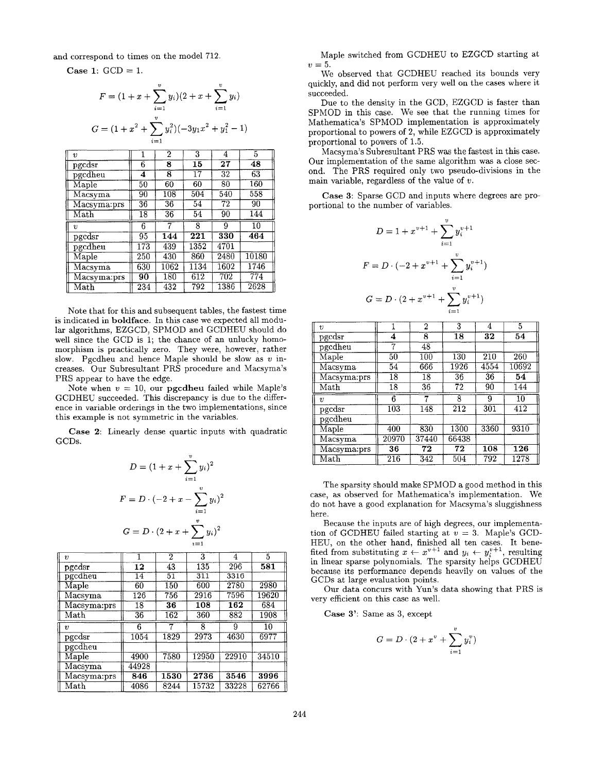and correspond to times on the model 712.

Case 1:  $GCD = 1$ .

$$
F = (1 + x + \sum_{i=1}^{v} y_i)(2 + x + \sum_{i=1}^{v} y_i)
$$
  

$$
G = (1 + x^2 + \sum_{i=1}^{v} y_i^2)(-3y_1x^2 + y_1^2 - 1)
$$

| v                            |     | $\overline{2}$ | 3    | 4                | 5     |
|------------------------------|-----|----------------|------|------------------|-------|
| pgcdsr                       | 6   | 8              | 15   | 27               | 48    |
| pgcdheu                      | 4   | 8              | 17   | 32               | 63    |
| Maple                        | 50  | 60             | 60   | 80               | 160   |
| $\overline{\text{Macsym}}$ a | 90  | 108            | 504  | 540              | 558   |
| Macsyma:prs                  | 36  | 36             | 54   | 72               | 90    |
| Math                         | 18  | 36             | 54   | 90               | 144   |
| $\overline{\mathbf{v}}$      | 6   |                | 8    | 9                | 10    |
| pgcdsr                       | 95  | 144            | 221  | 330              | 464   |
| pgcdheu                      | 173 | 439            | 1352 | 4701             |       |
| Maple                        | 250 | 430            | 860  | 2480             | 10180 |
| Macsyma                      | 630 | 1062           | 1134 | 1602             | 1746  |
| Macsyma:prs                  | 90  | 180            | 612  | $\overline{702}$ | 774   |
| $\overline{\text{Math}}$     | 234 | 432            | 792  | 1386             | 2628  |

Note that for this and subsequent tables, the fastest time is indicated in boldface. In this case we expected all modular algorithms, EZGCD, SPMOD and GCDHEU should do well since the GCD is 1; the chance of an unlucky homomorphism is practically zero. They were, however, rather slow. Pgcdheu and hence Maple should be slow as  $v$  increases. Our Subresultant PRS procedure and Macsyma's PRS appear to have the edge.

Note when  $v = 10$ , our **pgcdheu** failed while Maple's GCDHEU succeeded. This discrepancy is due to the difference in variable orderings in the two implementations, since this example is not symmetric in the variables.

Case 2: Linearly dense quartic inputs with quadratic GCDS.

$$
D = (1 + x + \sum_{i=1}^{v} y_i)^2
$$
  

$$
F = D \cdot (-2 + x - \sum_{i=1}^{v} y_i)^2
$$
  

$$
G = D \cdot (2 + x + \sum_{i=1}^{v} y_i)^2
$$

| $\boldsymbol{\eta}$                     |                | 2    | 3                | 4     | 5               |
|-----------------------------------------|----------------|------|------------------|-------|-----------------|
| pgcdsr                                  | 12             | 43   | $\overline{135}$ | 296   | 581             |
| pgcdheu                                 | 14             | 51   | 311              | 3316  |                 |
| Maple                                   | 60             | 150  | 600              | 2780  | 2980            |
| $\overline{\text{Macsyma}}$             | 126            | 756  | 2916             | 7596  | 19620           |
| $M$ acsyma: $prs$                       | 18             | 36   | 108              | 162   | 684             |
| Math                                    | 36             | 162  | 360              | 882   | 1908            |
| $\overline{\mathbf{r}}$                 | $\overline{6}$ |      | 8                | g     | $\overline{10}$ |
| pgcdsr                                  | 1054           | 1829 | 2973             | 4630  | 6977            |
| pgcdheu                                 |                |      |                  |       |                 |
| Maple                                   | 4900           | 7580 | 12950            | 22910 | 34510           |
| Macsyma                                 | 44928          |      |                  |       |                 |
| Macsyma:prs                             | 846            | 1530 | 2736             | 3546  | 3996            |
| $\operatorname{\mathrm {Mat}}\nolimits$ | 4086           | 8244 | 15732            | 33228 | 62766           |

Maple switched from GCDHEU to EZGCD starting at  $v=5$ .

We observed that GCDHEU reached its bounds very quickly, and did not perform very well on the cases where it succeeded.

Due to the density in the GCD, EZGCD is faster than SPMOD in this case. We see that the running times for Mathematica's SPMOD implementation is approximately proportional to powers of 2, while EZGCD is approximately proportional to powers of 1.5.

Macsyma's Subresultant PRS was the fastest in this case. Our implementation of the same algorithm was a close second. The PRS required only two pseudo-divisions in the main variable, regardless of the value of  $v$ .

Case 3: Sparse GCD and inputs where degrees are proportional to the number of variables.

$$
D = 1 + x^{v+1} + \sum_{i=1}^{v} y_i^{v+1}
$$

$$
F = D \cdot (-2 + x^{v+1} + \sum_{i=1}^{v} y_i^{v+1})
$$

$$
G = D \cdot (2 + x^{v+1} + \sum_{i=1}^{v} y_i^{v+1})
$$

| υ                           |       | $\overline{2}$ | 3                 | 4    | 5               |
|-----------------------------|-------|----------------|-------------------|------|-----------------|
| pgcdsr                      | 4     | 8              | 18                | 32   | 54              |
| pgcdheu                     |       | 48             |                   |      |                 |
| Maple                       | 50    | 100            | 130               | 210  | 260             |
| Macsyma                     | 54    | 666            | $19\overline{26}$ | 4554 | 10692           |
| Macsyma:prs                 | 18    | 18             | 36                | 36   | 54              |
| Math                        | 18    | 36             | $\overline{72}$   | 90   | 144             |
| $\boldsymbol{\eta}$         | ĥ     |                | R                 | 9    | $\overline{10}$ |
| pgcdsr                      | 103   | 148            | 212               | 301  | 412             |
| pgcdheu                     |       |                |                   |      |                 |
| Maple                       | 400   | 830            | 1300              | 3360 | 9310            |
| $\overline{\text{Macsyma}}$ | 20970 | 37440          | 66438             |      |                 |
| Macsyma:prs                 | 36    | 72             | 72                | 108  | 126             |
| $\overline{\text{Math}}$    | 216   | 342            | 504               | 792  | 1278            |

The sparsity should make SPMOD a good method in this case, as observed for Mathematica's implementation. We do not have a good explanation for Macsyma's sluggishness here.

Because the inputs are of high degrees, our implementation of GCDHEU failed starting at  $v = 3$ . Maple's GCD-HEU, on the other hand, finished all ten cases. It benefited from substituting  $x \leftarrow x^{\nu+1}$  and  $y_i \leftarrow y_i^{\nu+1}$ , resulting in linear sparse polynomials. The sparsity helps GCDHI because its performance depends heavily on values of the GCDS at large evaluation points.

Our data concurs with Yun's data showing that PRS is very efficient on this case as well.

Case 3': Same as 3, except

$$
G = D \cdot (2 + x^{v} + \sum_{i=1}^{v} y_{i}^{v})
$$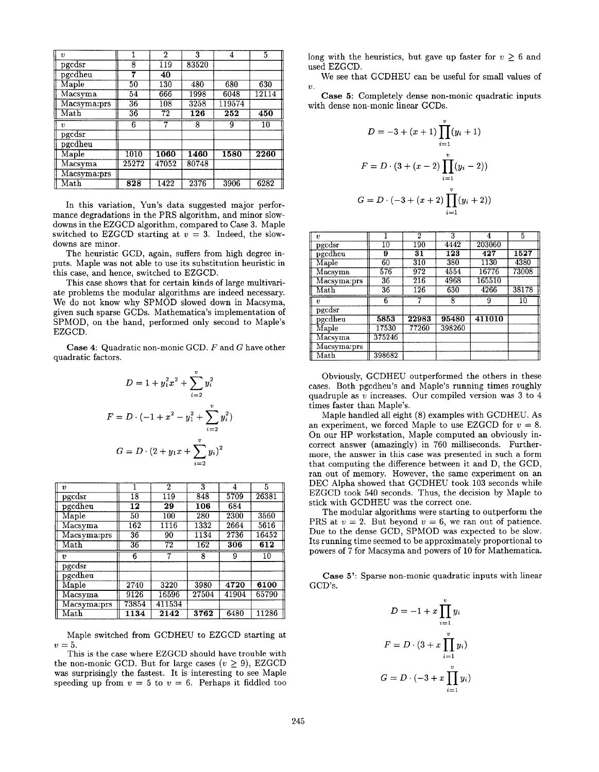| $\eta$                   |       | 2     | 3     | 4      | 5                 |
|--------------------------|-------|-------|-------|--------|-------------------|
| pgcdsr                   | 8     | 119   | 83520 |        |                   |
| pgcdheu                  | 7     | 40    |       |        |                   |
| Maple                    | 50    | 130   | 480   | 680    | 630               |
| Macsyma                  | 54    | 666   | 1998  | 6048   | 12114             |
| Macsyma:prs              | 36    | 108   | 3258  | 119574 |                   |
| $\overline{\text{Math}}$ | 36    | 72    | 126   | 252    | 450               |
| $\boldsymbol{\eta}$      | 6     |       | 8     | 9      | 10                |
| pgcdsr                   |       |       |       |        |                   |
| pgcdheu                  |       |       |       |        |                   |
| Maple                    | 1010  | 1060  | 1460  | 1580   | $\overline{2260}$ |
| Macsyma                  | 25272 | 47052 | 80748 |        |                   |
| Macsyma:prs              |       |       |       |        |                   |
|                          |       |       |       |        |                   |

In this variation, Yun's data suggested major performance degradations in the PRS algorithm, and minor slowdowns in the EZGCD algorithm, compared to Case 3. Maple switched to EZGCD starting at  $v = 3$ . Indeed, the slowdowns are minor,

The heuristic GCD, again, suffers from high degree inputs. Maple was not able to use its substitution heuristic in this case, and hence, switched to EZGCD.

This case shows that for certain kinds of large multivariate problems the modular algorithms are indeed necessary. We do not know why SPMOD slowed down in Macsyma, given such sparse GCDS, Mathematica's implementation of SPMOD, on the hand, performed only second to Maple's EZGCD.

Case 4: Quadratic non-monic GCD. F and G have other quadratic factors.

$$
D = 1 + y_1^2 x^2 + \sum_{i=2}^{v} y_i^2
$$
  

$$
F = D \cdot (-1 + x^2 - y_1^2 + \sum_{i=2}^{v} y_i^2)
$$
  

$$
G = D \cdot (2 + y_1 x + \sum_{i=2}^{v} y_i)^2
$$

| $\boldsymbol{v}$         |                  | 2               | 3                | 4     | 5               |
|--------------------------|------------------|-----------------|------------------|-------|-----------------|
| pgcdsr                   | 18               | 119             | 848              | 5709  | 26381           |
| pgcdheu                  | 12               | 29              | 106              | 684   |                 |
| Maple                    | 50               | 100             | 280              | 2300  | 3560            |
| Macsyma                  | $\overline{162}$ | 1116            | 1332             | 2664  | 5616            |
| Macsyma:prs              | 36               | 90              | 1134             | 2736  | 16452           |
| $\overline{\text{Math}}$ | $\overline{36}$  | $\overline{72}$ | $\overline{162}$ | 306   | 612             |
|                          |                  |                 |                  |       |                 |
| $\boldsymbol{v}$         | 6                |                 | 8                | 9     | $\overline{10}$ |
| pgcdsr                   |                  |                 |                  |       |                 |
| pgcdheu                  |                  |                 |                  |       |                 |
| Maple                    | 2740             | 3220            | 3980             | 4720  | 6100            |
| Macsyma                  | 9126             | 16596           | 27504            | 41904 | 65790           |
| Macsyma:prs              | 73854            | 411534          |                  |       |                 |

Maple switched from GCDHEU to EZGCD starting at  $v = 5$ .

This is the case where EZGCD should have trouble with the non-monic GCD. But for large cases ( $v \geq 9$ ), EZGCD was surprisingly the fastest. It is interesting to see Maple speeding up from  $v = 5$  to  $v = 6$ . Perhaps it fiddled too long with the heuristics, but gave up faster for  $v \geq 6$  and used EZGCD.

We see that GCDHEU can be useful for small values of  $\boldsymbol{v}$ .

Case 5: Completely dense non-monic quadratic inputs with dense non-monic linear GCDS.

$$
D = -3 + (x+1) \prod_{i=1}^{v} (y_i + 1)
$$
  

$$
F = D \cdot (3 + (x-2) \prod_{i=1}^{v} (y_i - 2))
$$
  

$$
G = D \cdot (-3 + (x+2) \prod_{i=1}^{v} (y_i + 2))
$$

| 91                          |        | 2     | 3      |        | 5     |
|-----------------------------|--------|-------|--------|--------|-------|
| pgcdsr                      | 10     | 190   | 4442   | 203060 |       |
| pgcdheu                     | 9      | 31    | 123    | 427    | 1527  |
| Maple                       | 60     | 310   | 380    | 1130   | 4380  |
| $\overline{\text{Macsyma}}$ | 576    | 972   | 4554   | 16776  | 73008 |
| Macsyma:prs                 | 36     | 216   | 4968   | 165510 |       |
| Math                        | 36     | 126   | 630    | 4266   | 38178 |
|                             |        |       |        |        |       |
| $\boldsymbol{\eta}$         | 6      |       | R      | 9      | 10    |
| pgcdsr                      |        |       |        |        |       |
| pgcdheu                     | 5853   | 22983 | 95480  | 411010 |       |
| Maple                       | 17530  | 77260 | 398260 |        |       |
| $\overline{\rm M}$ acsyma   | 375246 |       |        |        |       |
| Macsyma:prs                 |        |       |        |        |       |

Obviously, GCDHEU outperformed the others in these cases. Both pgcdheu's and Maple's running times roughly quadruple as v increases. Our compiled version was 3 to 4 times faster than Maple's.

Maple handled all eight (8) examples with GCDHEU. As an experiment, we forced Maple to use EZGCD for  $v = 8$ . On our HP workstation, Maple computed an obviously incorrect answer (amazingly) in 760 milliseconds. Furthermore, the answer in this case was presented in such a form that computing the difference between it and D, the GCD, ran out of memory. However, the same experiment on an DEC Alpha showed that GCDHEU took 103 seconds while EZGCD took 540 seconds. Thus, the decision by Maple to stick with GCDHEU was the correct one.

The modular algorithms were starting to outperform the PRS at  $v = 2$ . But beyond  $v = 6$ , we ran out of patience. Due to the dense GCD, SPMOD was expected to be slow. Its running time seemed to be approximately proportional to powers of 7 for Macsyma and powers of 10 for Mathematica.

Case 5': Sparse non-monic quadratic inputs with linear GCD'S.

$$
D = -1 + x \prod_{i=1}^{v} y_i
$$

$$
F = D \cdot (3 + x \prod_{i=1}^{v} y_i)
$$

$$
G = D \cdot (-3 + x \prod_{i=1}^{v} y_i)
$$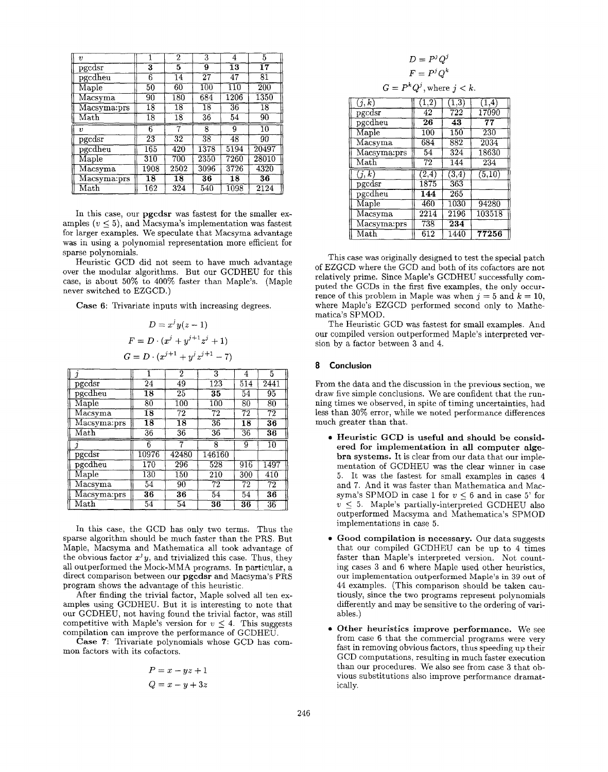| 9)                                      |                 | $\overline{2}$ | 3              | 4          | 5                                                  |
|-----------------------------------------|-----------------|----------------|----------------|------------|----------------------------------------------------|
| pgcdsr                                  | 3               | 5              | 9              | $\bar{1}3$ | 17                                                 |
| pgcdheu                                 | 6               | 14             | 27             | 47         | 81                                                 |
| Maple                                   | $50\,$          | 60             | 100            | 110        | $\overline{200}$                                   |
| $M$ acsyma                              | 90              | 180            | 684            | 1206       | $\overline{1}\overline{3}\overline{5}\overline{0}$ |
| $M$ acsyma:pr $\,$                      | 18              | 18             | 18             | 36         | $\overline{1}8$                                    |
| $\overline{\text{Math}}$                | 18              | 18             | 36             | 54         | 90                                                 |
| $\boldsymbol{\eta}$                     | 6               |                | $\overline{8}$ | 9          | $\overline{10}$                                    |
| pgcdsr                                  | $2\overline{3}$ | 32             | 38             | 48         | 90                                                 |
| $p$ g $cd$ heu                          | 165             | 420            | 1378           | 5194       | 20497                                              |
| Maple                                   | 310             | 700            | 2350           | 7260       | 28010                                              |
| Macsyma                                 | 1908            | 2502           | 3096           | 3726       | 4320                                               |
| $\overline{\text{Macsyma:} \text{prs}}$ | $\overline{18}$ | 18             | 36             | 18         | 36                                                 |
| $\overline{\text{Math}}$                | 162             | 324            | 540            | 1098       | 2124                                               |

In this case, our pgcdsr was fastest for the smaller examples  $(v \leq 5)$ , and Macsyma's implementation was fastest for larger examples. We speculate that Macsyma advantage was in using a polynomial representation more efficient for sparse polynomials.

Heuristic GCD did not seem to have much advantage over the modular algorithms. But our GCDHEU for this case, is about  $50\%$  to  $400\%$  faster than Maple's. (Maple never switched to EZGCD.)

Case 6: Trivariate inputs with increasing degrees.

$$
D = x^{j} y(z - 1)
$$
  
\n
$$
F = D \cdot (x^{j} + y^{j+1} z^{j} + 1)
$$
  
\n
$$
G = D \cdot (x^{j+1} + y^{j} z^{j+1} - 7)
$$

|                                         |                 | 2               | 3      | 4                | 5               |
|-----------------------------------------|-----------------|-----------------|--------|------------------|-----------------|
| pgcdsr                                  | 24              | 49              | 123    | 514              | 2441            |
| pgcdheu                                 | 18              | 25              | 35     | 54               | 95              |
| Maple                                   | 80              | 100             | 100    | 80               | 80              |
| $\overline{\text{Macsym}}$ a            | 18              | 72              | 72     | 72               | $\overline{72}$ |
| Macsyma:prs                             | 18              | 18              | 36     | 18               | 36              |
| $\overline{\text{Math}}$                | $\overline{36}$ | $\overline{36}$ | 36     | 36               | 36              |
|                                         |                 |                 |        |                  |                 |
|                                         | 6               |                 | 8      | 9                | $1\overline{0}$ |
| pgcdsr                                  | 10976           | 42480           | 146160 |                  |                 |
| pgcdheu                                 | 170             | 296             | 528    | $\overline{916}$ | 1497            |
| $\rm{Maple}$                            | 130             | 150             | 210    | 300              | 410             |
| Macsyma                                 | 54              | 90              | 72     | 72               | $\overline{72}$ |
| Macsyma:prs<br>$\overline{\text{Math}}$ | 36              | 36              | 54     | 54               | 36              |

In this case, the GCD has only two terms. Thus the sparse algorithm should be much faster than the PRS. But Maple, Macsyma and Mathematica all took advantage of the obvious factor  $x^j y$ , and trivialized this case. Thus, they all outperformed the Mock-MMA programs. In particular, a direct comparison between our pgcdsr and Macsyma's PRS program shows the advantage of this heuristic.

After finding the trivial factor, Maple solved all ten examples using GCDHEU. But it is interesting to note that our GCDHEU, not having found the trivial factor, was still competitive with Maple's version for  $v \leq 4$ . This suggests compilation can improve the performance of GCDHEU.

Case 7: Trivariate polynomials whose GCD has common factors with its cofactors.

$$
P = x - yz + 1
$$

$$
Q = x - y + 3z
$$

$$
\begin{aligned} D &= P^j Q^j \\ F &= P^j Q^k \end{aligned}
$$

| $G = P^k Q^j$ , where $j < k$ . |  |  |  |  |
|---------------------------------|--|--|--|--|
|---------------------------------|--|--|--|--|

| (j,k)                                                                                | (1,2)             | $\overline{1,3})$      | (1,4)  |
|--------------------------------------------------------------------------------------|-------------------|------------------------|--------|
| pgcdsr                                                                               | 42                | $\overline{722}$       | 17090  |
| pgcdheu                                                                              | 26                | 43                     | 77     |
| Maple                                                                                | 100               | 150                    | 230    |
| $M$ acsyma                                                                           | 684               | $\overline{882}$       | 2034   |
| Macsyma:prs                                                                          | 54                | $\overline{324}$       | 18630  |
| $\overline{\text{Math}}$                                                             | $\overline{72}$   | 144                    | 234    |
| (j,k)                                                                                | (2, 4)            | (3, 4)                 | (5,10) |
| pgcdsr                                                                               | 1875              | 363                    |        |
| $\overline{\text{pgcdheu}}$                                                          | 144               | 265                    |        |
| Maple                                                                                | 460               | 1030                   | 94280  |
| Macsyma                                                                              | $221\overline{4}$ | 2196                   | 103518 |
| Macsyma:prs                                                                          | 738               | ${\bf \overline{234}}$ |        |
| $\operatorname*{Math}% \left( X\right) \equiv\operatorname*{Mat}% \left( X\right) ,$ | $61\overline{2}$  | 1440                   | 77256  |

This case was originally designed to test the special patch of EZGCD where the GCD and both of its cofactors are not relatively prime. Since Maple's GCDHEU successfully computed the GCDS in the first five examples, the only occurrence of this problem in Maple was when  $j = 5$  and  $k = 10$ , where Maple's EZGCD performed second only to Mathematica's SPMOD,

The Heuristic GCD was fastest for small examples. And our compiled version outperformed Maple's interpreted version by a factor between 3 and 4.

## 8 Conclusion

From the data and the discussion in the previous section, we draw five simple conclusions. We are confident that the running times we observed, in spite of timing uncertainties, had less than 30% error, while we noted performance differences much greater than that.

- $\bullet$  Heuristic GCD is useful and should be consi ered for implementation in all computer algebra systems. It is clear from our data that our implementation of GCDHEU was the clear winner in case 5. It was the fastest for small examples in cases 4 and 7. And it was faster than Mathematica and Macsyma's SPMOD in case 1 for  $v\leq 6$  and in case 5' for  $v \leq 5$ . Maple's partially-interpreted GCDHEU also outperformed Macsyma and Mathematica's SPMOD implementations in case 5.
- $\bullet$  Good compilation is necessary. Our data suggest that our compiled GCDHEU can be up to 4 times faster than Maple's interpreted version. Not counting cases 3 and 6 where Maple used other heuristics, our implementation outperformed Maple's in 39 out of 44 examples. (This comparison should be taken cautiously, since the two programs represent polynomials differently and may be sensitive to the ordering of variables. )
- Other heuristics improve performance. We see from case 6 that the commercial programs were very fast in removing obvious factors, thus speeding up their GCD computations, resulting in much faster execution than our procedures. We also see from case 3 that obvious substitutions also improve performance dramatically.